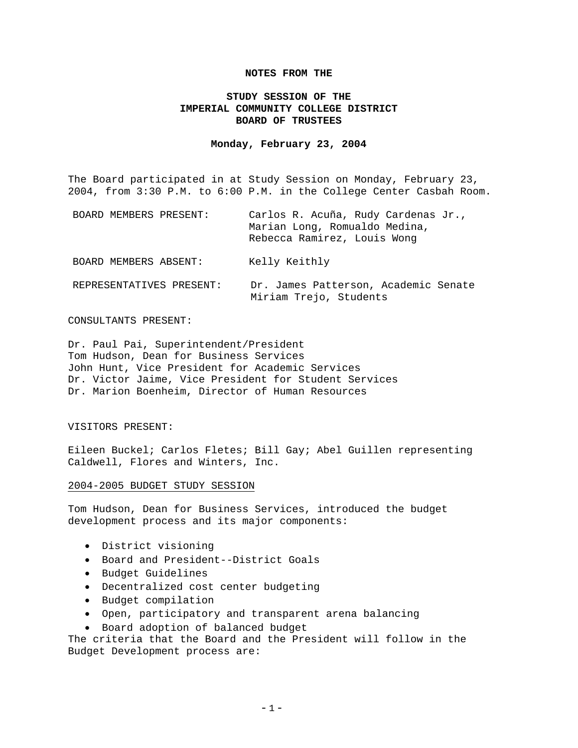### **NOTES FROM THE**

# **STUDY SESSION OF THE IMPERIAL COMMUNITY COLLEGE DISTRICT BOARD OF TRUSTEES**

#### **Monday, February 23, 2004**

The Board participated in at Study Session on Monday, February 23, 2004, from 3:30 P.M. to 6:00 P.M. in the College Center Casbah Room.

| BOARD MEMBERS PRESENT:   | Carlos R. Acuña, Rudy Cardenas Jr.,<br>Marian Long, Romualdo Medina,<br>Rebecca Ramirez, Louis Wong |
|--------------------------|-----------------------------------------------------------------------------------------------------|
| BOARD MEMBERS ABSENT:    | Kelly Keithly                                                                                       |
| REPRESENTATIVES PRESENT: | Dr. James Patterson, Academic Senate<br>Miriam Trejo, Students                                      |

#### CONSULTANTS PRESENT:

Dr. Paul Pai, Superintendent/President Tom Hudson, Dean for Business Services John Hunt, Vice President for Academic Services Dr. Victor Jaime, Vice President for Student Services Dr. Marion Boenheim, Director of Human Resources

### VISITORS PRESENT:

Eileen Buckel; Carlos Fletes; Bill Gay; Abel Guillen representing Caldwell, Flores and Winters, Inc.

#### 2004-2005 BUDGET STUDY SESSION

Tom Hudson, Dean for Business Services, introduced the budget development process and its major components:

- District visioning
- Board and President--District Goals
- Budget Guidelines
- Decentralized cost center budgeting
- Budget compilation
- Open, participatory and transparent arena balancing
- Board adoption of balanced budget

The criteria that the Board and the President will follow in the Budget Development process are: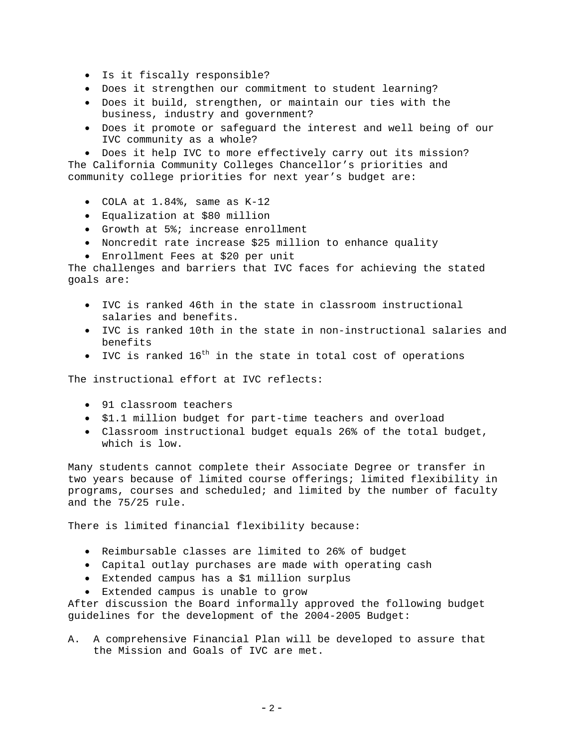- Is it fiscally responsible?
- Does it strengthen our commitment to student learning?
- Does it build, strengthen, or maintain our ties with the business, industry and government?
- Does it promote or safeguard the interest and well being of our IVC community as a whole?

• Does it help IVC to more effectively carry out its mission? The California Community Colleges Chancellor's priorities and community college priorities for next year's budget are:

- COLA at 1.84%, same as K-12
- Equalization at \$80 million
- Growth at 5%; increase enrollment
- Noncredit rate increase \$25 million to enhance quality
- Enrollment Fees at \$20 per unit

The challenges and barriers that IVC faces for achieving the stated goals are:

- IVC is ranked 46th in the state in classroom instructional salaries and benefits.
- IVC is ranked 10th in the state in non-instructional salaries and benefits
- IVC is ranked  $16^{th}$  in the state in total cost of operations

The instructional effort at IVC reflects:

- 91 classroom teachers
- \$1.1 million budget for part-time teachers and overload
- Classroom instructional budget equals 26% of the total budget, which is low.

Many students cannot complete their Associate Degree or transfer in two years because of limited course offerings; limited flexibility in programs, courses and scheduled; and limited by the number of faculty and the 75/25 rule.

There is limited financial flexibility because:

- Reimbursable classes are limited to 26% of budget
- Capital outlay purchases are made with operating cash
- Extended campus has a \$1 million surplus
- Extended campus is unable to grow

After discussion the Board informally approved the following budget guidelines for the development of the 2004-2005 Budget:

A. A comprehensive Financial Plan will be developed to assure that the Mission and Goals of IVC are met.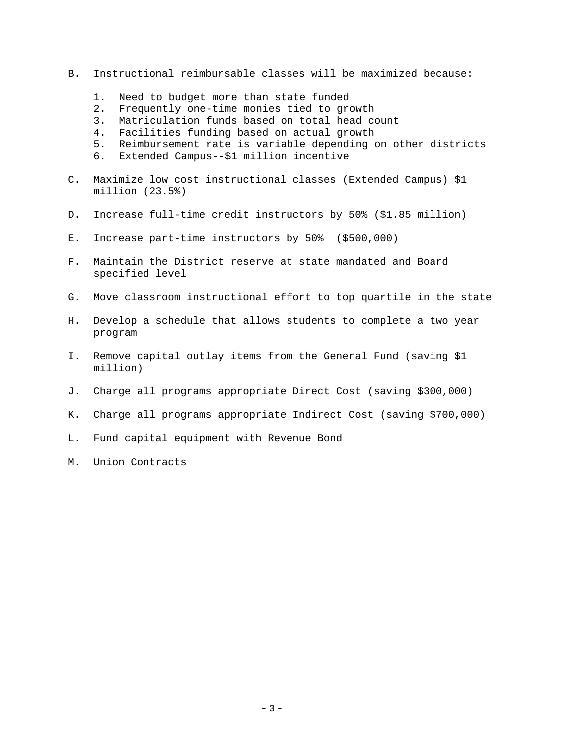- B. Instructional reimbursable classes will be maximized because:
	- 1. Need to budget more than state funded
	- 2. Frequently one-time monies tied to growth
	- 3. Matriculation funds based on total head count
	- 4. Facilities funding based on actual growth
	- 5. Reimbursement rate is variable depending on other districts
	- 6. Extended Campus--\$1 million incentive
- C. Maximize low cost instructional classes (Extended Campus) \$1 million (23.5%)
- D. Increase full-time credit instructors by 50% (\$1.85 million)
- E. Increase part-time instructors by 50% (\$500,000)
- F. Maintain the District reserve at state mandated and Board specified level
- G. Move classroom instructional effort to top quartile in the state
- H. Develop a schedule that allows students to complete a two year program
- I. Remove capital outlay items from the General Fund (saving \$1 million)
- J. Charge all programs appropriate Direct Cost (saving \$300,000)
- K. Charge all programs appropriate Indirect Cost (saving \$700,000)
- L. Fund capital equipment with Revenue Bond
- M. Union Contracts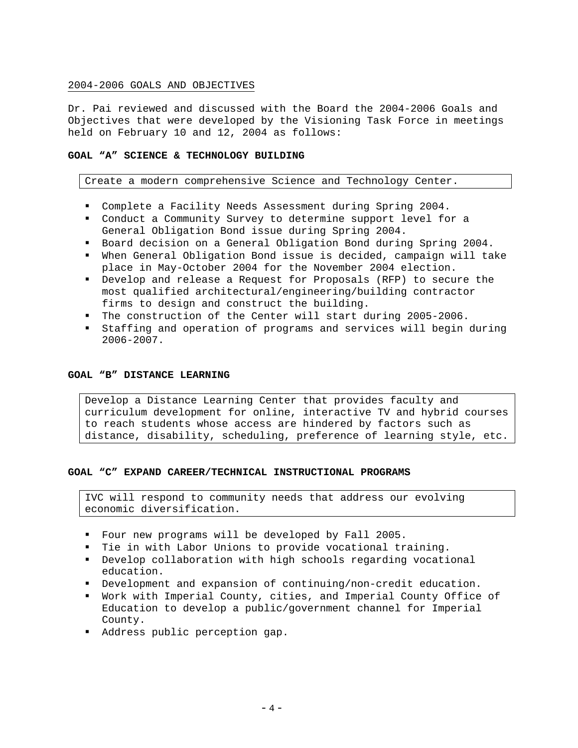# 2004-2006 GOALS AND OBJECTIVES

Dr. Pai reviewed and discussed with the Board the 2004-2006 Goals and Objectives that were developed by the Visioning Task Force in meetings held on February 10 and 12, 2004 as follows:

# **GOAL "A" SCIENCE & TECHNOLOGY BUILDING**

Create a modern comprehensive Science and Technology Center.

- Complete a Facility Needs Assessment during Spring 2004.
- Conduct a Community Survey to determine support level for a General Obligation Bond issue during Spring 2004.
- Board decision on a General Obligation Bond during Spring 2004.
- When General Obligation Bond issue is decided, campaign will take place in May-October 2004 for the November 2004 election.
- Develop and release a Request for Proposals (RFP) to secure the most qualified architectural/engineering/building contractor firms to design and construct the building.
- The construction of the Center will start during 2005-2006.
- Staffing and operation of programs and services will begin during 2006-2007.

### **GOAL "B" DISTANCE LEARNING**

Develop a Distance Learning Center that provides faculty and curriculum development for online, interactive TV and hybrid courses to reach students whose access are hindered by factors such as distance, disability, scheduling, preference of learning style, etc.

### **GOAL "C" EXPAND CAREER/TECHNICAL INSTRUCTIONAL PROGRAMS**

IVC will respond to community needs that address our evolving economic diversification.

- Four new programs will be developed by Fall 2005.
- Tie in with Labor Unions to provide vocational training.
- Develop collaboration with high schools regarding vocational education.
- Development and expansion of continuing/non-credit education.
- Work with Imperial County, cities, and Imperial County Office of Education to develop a public/government channel for Imperial County.
- Address public perception gap.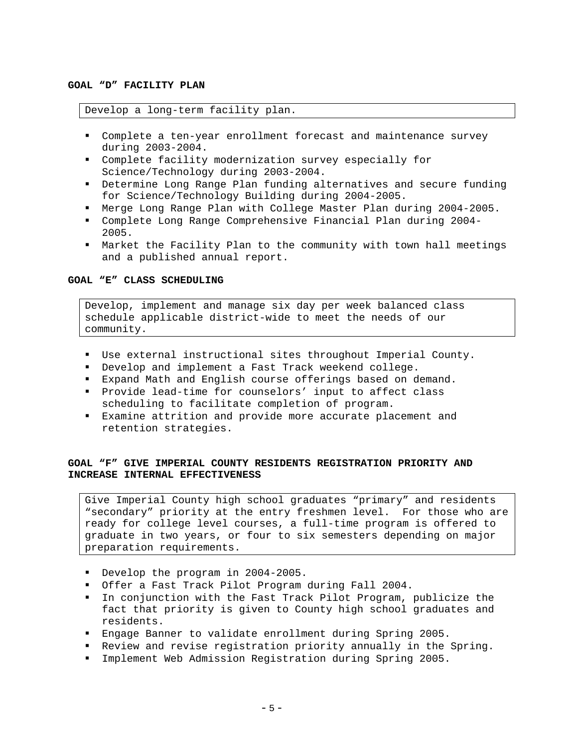### **GOAL "D" FACILITY PLAN**

### Develop a long-term facility plan.

- Complete a ten-year enrollment forecast and maintenance survey during 2003-2004.
- Complete facility modernization survey especially for Science/Technology during 2003-2004.
- Determine Long Range Plan funding alternatives and secure funding for Science/Technology Building during 2004-2005.
- Merge Long Range Plan with College Master Plan during 2004-2005.
- Complete Long Range Comprehensive Financial Plan during 2004- 2005.
- Market the Facility Plan to the community with town hall meetings and a published annual report.

# **GOAL "E" CLASS SCHEDULING**

Develop, implement and manage six day per week balanced class schedule applicable district-wide to meet the needs of our community.

- Use external instructional sites throughout Imperial County.
- Develop and implement a Fast Track weekend college.
- Expand Math and English course offerings based on demand.
- Provide lead-time for counselors' input to affect class scheduling to facilitate completion of program.
- Examine attrition and provide more accurate placement and retention strategies.

# **GOAL "F" GIVE IMPERIAL COUNTY RESIDENTS REGISTRATION PRIORITY AND INCREASE INTERNAL EFFECTIVENESS**

Give Imperial County high school graduates "primary" and residents "secondary" priority at the entry freshmen level. For those who are ready for college level courses, a full-time program is offered to graduate in two years, or four to six semesters depending on major preparation requirements.

- Develop the program in 2004-2005.
- Offer a Fast Track Pilot Program during Fall 2004.
- In conjunction with the Fast Track Pilot Program, publicize the fact that priority is given to County high school graduates and residents.
- Engage Banner to validate enrollment during Spring 2005.
- Review and revise registration priority annually in the Spring.
- Implement Web Admission Registration during Spring 2005.